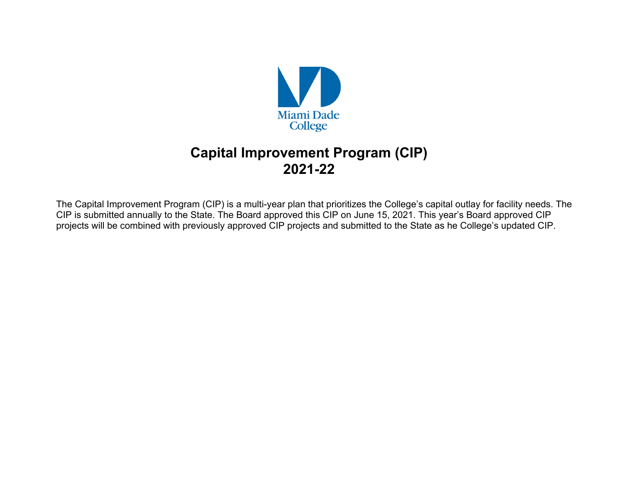

# **Capital Improvement Program (CIP) 2021-22**

The Capital Improvement Program (CIP) is a multi-year plan that prioritizes the College's capital outlay for facility needs. The CIP is submitted annually to the State. The Board approved this CIP on June 15, 2021. This year's Board approved CIP projects will be combined with previously approved CIP projects and submitted to the State as he College's updated CIP.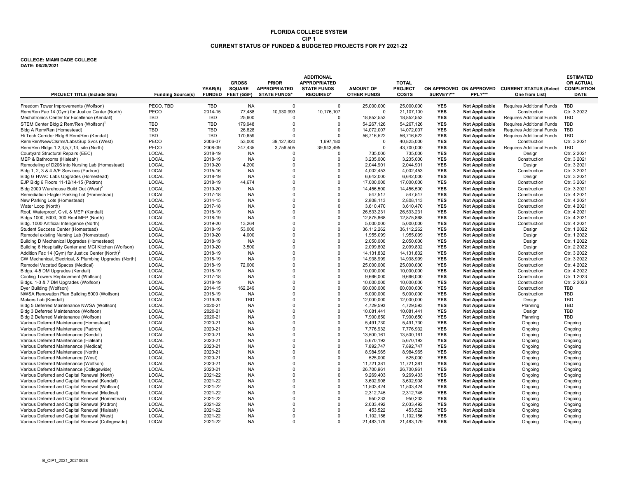## **CIP 1 CURRENT STATUS OF FUNDED & BUDGETED PROJECTS FOR FY 2021-22FLORIDA COLLEGE SYSTEM**

#### **COLLEGE: MIAMI DADE COLLEGE DATE: 06/25/2021**

| <b>PROJECT TITLE (Include Site)</b>                           | <b>Funding Source(s)</b> | YEAR(S)    | <b>GROSS</b><br><b>SQUARE</b><br>FUNDED FEET (GSF) | <b>PRIOR</b><br><b>APPROPRIATED</b><br><b>STATE FUNDS*</b> | <b>ADDITIONAL</b><br><b>APPROPRIATED</b><br><b>STATE FUNDS</b><br><b>REQUIRED*</b> | <b>AMOUNT OF</b><br><b>OTHER FUNDS</b> | <b>TOTAL</b><br><b>PROJECT</b><br><b>COSTS</b> | SURVEY?**  | <b>PPL?***</b>        | ON APPROVED ON APPROVED CURRENT STATUS (Select<br>One from List) | <b>ESTIMATED</b><br><b>OR ACTUAL</b><br><b>COMPLETION</b><br><b>DATE</b> |
|---------------------------------------------------------------|--------------------------|------------|----------------------------------------------------|------------------------------------------------------------|------------------------------------------------------------------------------------|----------------------------------------|------------------------------------------------|------------|-----------------------|------------------------------------------------------------------|--------------------------------------------------------------------------|
| Freedom Tower Improvements (Wolfson)                          | PECO. TBD                | <b>TBD</b> | <b>NA</b>                                          | 0                                                          | $\Omega$                                                                           | 25,000,000                             | 25,000,000                                     | <b>YES</b> | <b>Not Applicable</b> | Requires Additional Funds                                        | <b>TBD</b>                                                               |
| Rem/Ren Fac 14 (Gym) for Justice Center (North)               | PECO                     | 2014-15    | 77,488                                             | 10,930,993                                                 | 10,176,107                                                                         | $\Omega$                               | 21,107,100                                     | <b>YES</b> | <b>Not Applicable</b> | Construction                                                     | Qtr. 3 2022                                                              |
| Mechatronics Center for Excellence (Kendall)                  | TBD                      | <b>TBD</b> | 25,600                                             |                                                            | $\Omega$                                                                           | 18,852,553                             | 18,852,553                                     | <b>YES</b> | <b>Not Applicable</b> | Requires Additional Funds                                        | <b>TBD</b>                                                               |
| STEM Center Bldg 2 Rem/Ren (Wolfson) <sup>1</sup>             | TBD                      | <b>TBD</b> | 179,948                                            | $\Omega$                                                   | $\Omega$                                                                           | 54,267,126                             | 54,267,126                                     | <b>YES</b> | <b>Not Applicable</b> | Requires Additional Funds                                        | <b>TBD</b>                                                               |
| Bldg A Rem/Ren (Homestead)                                    | TBD                      | <b>TBD</b> | 26,828                                             | $\Omega$                                                   | $\mathbf 0$                                                                        | 14,072,007                             | 14,072,007                                     | <b>YES</b> | <b>Not Applicable</b> | Requires Additional Funds                                        | <b>TBD</b>                                                               |
| Hi Tech Corridor Bldg 6 Rem/Ren (Kendall)                     | TBD                      | TBD        | 170,659                                            | $\Omega$                                                   | $\Omega$                                                                           | 56,716,522                             | 56,716,522                                     | <b>YES</b> | <b>Not Applicable</b> | Requires Additional Funds                                        | <b>TBD</b>                                                               |
| Rem/Ren/New/Clsrms/Labs/Sup Svcs (West)                       | PECO                     | 2006-07    | 53,000                                             | 39,127,820                                                 | 1,697,180                                                                          | $\Omega$                               | 40,825,000                                     | <b>YES</b> | <b>Not Applicable</b> | Construction                                                     | Qtr. 3 2021                                                              |
| Rem/Ren Bldgs 1,2,3,5,7,13, site (North)                      | PECO                     | 2008-09    | 247,435                                            | 3,756,505                                                  | 39,943,495                                                                         | $\Omega$                               | 43,700,000                                     | <b>YES</b> | <b>Not Applicable</b> | Requires Additional Funds                                        | <b>TBD</b>                                                               |
| Courtyard Structural Repairs (EEC)                            | LOCAL                    | 2018-19    | <b>NA</b>                                          | $\Omega$                                                   | $\Omega$                                                                           | 735,000                                | 735,000                                        | <b>YES</b> | <b>Not Applicable</b> | Design                                                           | Qtr. 2 2021                                                              |
| MEP & Bathrooms (Hialeah)                                     | LOCAL                    | 2018-19    | <b>NA</b>                                          | $\Omega$                                                   | $\Omega$                                                                           | 3,235,000                              | 3,235,000                                      | <b>YES</b> | <b>Not Applicable</b> | Construction                                                     | Qtr. 3 2021                                                              |
| Remodeling of D206 into Nursing Lab (Homestead)               | LOCAL                    | 2019-20    | 4,200                                              | $\Omega$                                                   | $\Omega$                                                                           | 2,044,901                              | 2,044,901                                      | <b>YES</b> | <b>Not Applicable</b> | Design                                                           | Qtr. 3 2021                                                              |
| Bldg 1, 2, 3 & 4 A/E Services (Padron)                        | LOCAL                    | 2015-16    | <b>NA</b>                                          | $\Omega$                                                   | $\Omega$                                                                           | 4,002,453                              | 4,002,453                                      | <b>YES</b> | <b>Not Applicable</b> | Construction                                                     | Qtr. 3 2021                                                              |
| Bldg G HVAC Labs Upgrades (Homestead)                         | LOCAL                    | 2018-19    | <b>NA</b>                                          | $\Omega$                                                   | $\Omega$                                                                           | 6,642,000                              | 6,642,000                                      | <b>YES</b> | <b>Not Applicable</b> | Design                                                           | Qtr. 3 2021                                                              |
| EJP Bldg 6 Floors 11-12/14-15 (Padron)                        | LOCAL                    | 2018-19    | 44,674                                             | $\Omega$                                                   | $\Omega$                                                                           | 17,000,000                             | 17,000,000                                     | <b>YES</b> | <b>Not Applicable</b> | Construction                                                     | Qtr. 3 2021                                                              |
| Bldg 2000 Warehouse Build Out (West) <sup>2</sup>             | LOCAL                    | 2019-20    | <b>NA</b>                                          | $\Omega$                                                   | $\Omega$                                                                           | 14,456,500                             | 14,456,500                                     | <b>YES</b> | <b>Not Applicable</b> | Construction                                                     | Qtr. 3 2021                                                              |
| Remediation Flagler Parking Lot (Homestead)                   | LOCAL                    | 2017-18    | <b>NA</b>                                          | $\Omega$                                                   | $\Omega$                                                                           | 547,517                                | 547,517                                        | <b>YES</b> | <b>Not Applicable</b> | Construction                                                     | Qtr. 4 2021                                                              |
| New Parking Lots (Homestead)                                  | LOCAL                    | 2014-15    | <b>NA</b>                                          | $\Omega$                                                   | $\Omega$                                                                           | 2,808,113                              | 2,808,113                                      | <b>YES</b> | <b>Not Applicable</b> | Construction                                                     | Qtr. 4 2021                                                              |
| Water Loop (North)                                            | LOCAL                    | 2017-18    | <b>NA</b>                                          | $\Omega$                                                   | $\Omega$                                                                           | 3,610,470                              | 3,610,470                                      | <b>YES</b> | <b>Not Applicable</b> | Construction                                                     | Qtr. 4 2021                                                              |
| Roof, Waterproof, Civil, & MEP (Kendall)                      | <b>LOCAL</b>             | 2018-19    | <b>NA</b>                                          | $\Omega$                                                   | $\Omega$                                                                           | 26,533,231                             | 26,533,231                                     | <b>YES</b> | <b>Not Applicable</b> | Construction                                                     | Qtr. 4 2021                                                              |
| Bldgs 1000, 5000, 300 Repl MEP (North)                        | LOCAL                    | 2018-19    | <b>NA</b>                                          | $\Omega$                                                   | $\Omega$                                                                           | 12.875.868                             | 12.875.868                                     | <b>YES</b> | <b>Not Applicable</b> | Construction                                                     | Qtr. 4 2021                                                              |
| Bldg. 1000 Artificial Intelligence (North)                    | <b>LOCAL</b>             | 2019-20    | 13.264                                             | $\Omega$                                                   | $\Omega$                                                                           | 5,000,000                              | 5,000,000                                      | <b>YES</b> | <b>Not Applicable</b> | Construction                                                     | Qtr. 4 2021                                                              |
| Student Success Center (Homestead)                            | LOCAL                    | 2018-19    | 53.000                                             |                                                            | $\Omega$                                                                           | 36,112,262                             | 36,112,262                                     | <b>YES</b> | <b>Not Applicable</b> | Design                                                           | Otr. 1 2022                                                              |
| Remodel existing Nursing Lab (Homestead)                      | LOCAL                    | 2019-20    | 4,000                                              | $\Omega$                                                   | $\Omega$                                                                           | 1,955,099                              | 1,955,099                                      | <b>YES</b> | <b>Not Applicable</b> | Design                                                           | Qtr. 1 2022                                                              |
| Building D Mechanical Upgrades (Homestead)                    | LOCAL                    | 2018-19    | <b>NA</b>                                          | $\Omega$                                                   | $\Omega$                                                                           | 2,050,000                              | 2,050,000                                      | <b>YES</b> | <b>Not Applicable</b> | Design                                                           | Qtr. 1 2022                                                              |
| Building 6 Hospitality Center and MCI Kitchen (Wolfson)       | LOCAL                    | 2019-20    | 3,500                                              | $\Omega$                                                   | $\Omega$                                                                           | 2,099,802                              | 2,099,802                                      | <b>YES</b> | <b>Not Applicable</b> | Design                                                           | Qtr. 2 2022                                                              |
| Addition Fac 14 (Gym) for Justice Center (North) <sup>2</sup> | LOCAL                    | 2018-19    | <b>NA</b>                                          | $\Omega$                                                   | $\Omega$                                                                           | 14, 131, 832                           | 14, 131, 832                                   | <b>YES</b> | <b>Not Applicable</b> | Construction                                                     | Qtr. 3 2022                                                              |
| CW Mechanical, Electrical, & Plumbing Upgrades (North)        | LOCAL                    | 2018-19    | <b>NA</b>                                          | $\Omega$                                                   | $\Omega$                                                                           | 14,938,999                             | 14,938,999                                     | <b>YES</b> | <b>Not Applicable</b> | Construction                                                     | Qtr. 3 2022                                                              |
| Remodel Vacated Spaces (Medical)                              | LOCAL                    | 2018-19    | 72,000                                             | $\Omega$                                                   | $\Omega$                                                                           | 25,000,000                             | 25,000,000                                     | <b>YES</b> | <b>Not Applicable</b> | Construction                                                     | Qtr. 4 2022                                                              |
| Bldgs. 4-5 DM Upgrades (Kendall)                              | <b>LOCAL</b>             | 2018-19    | <b>NA</b>                                          | $\Omega$                                                   | $\Omega$                                                                           | 10,000,000                             | 10,000,000                                     | <b>YES</b> | <b>Not Applicable</b> | Construction                                                     | Qtr. 4 2022                                                              |
| Cooling Towers Replacement (Wolfson)                          | <b>LOCAL</b>             | 2017-18    | <b>NA</b>                                          | $\Omega$                                                   | $\Omega$                                                                           | 9,666,000                              | 9,666,000                                      | <b>YES</b> | <b>Not Applicable</b> | Construction                                                     | Qtr. 1 2023                                                              |
| Bldgs. 1-3 & 7 DM Upgrades (Wolfson)                          | LOCAL                    | 2018-19    | <b>NA</b>                                          | $\Omega$                                                   | $\Omega$                                                                           | 10,000,000                             | 10,000,000                                     | <b>YES</b> | <b>Not Applicable</b> | Construction                                                     | Qtr. 2 2023                                                              |
| Dyer Building (Wolfson)                                       | LOCAL                    | 2014-15    | 162.249                                            | $\Omega$                                                   | $\Omega$                                                                           | 60,000,000                             | 60.000.000                                     | <b>YES</b> | <b>Not Applicable</b> | Construction                                                     | <b>TBD</b>                                                               |
| NWSA Renovation Plan Building 5000 (Wolfson)                  | LOCAL                    | 2018-19    | <b>NA</b>                                          | $\Omega$                                                   | $\Omega$                                                                           | 5,000,000                              | 5,000,000                                      | <b>YES</b> | <b>Not Applicable</b> | Construction                                                     | <b>TBD</b>                                                               |
| Makers Lab (Kendall)                                          | LOCAL                    | 2019-20    | <b>TBD</b>                                         | $\Omega$                                                   | $\Omega$                                                                           | 12,000,000                             | 12.000.000                                     | <b>YES</b> | <b>Not Applicable</b> | Design                                                           | <b>TBD</b>                                                               |
| Bldg 5 Deferred Maintenance NWSA (Wolfson)                    | LOCAL                    | 2020-21    | <b>NA</b>                                          | $\Omega$                                                   | $\Omega$                                                                           | 4,729,593                              | 4,729,593                                      | <b>YES</b> | <b>Not Applicable</b> | Planning                                                         | <b>TBD</b>                                                               |
| Bldg 3 Deferred Maintenance (Wolfson)                         | LOCAL                    | 2020-21    | <b>NA</b>                                          | $\Omega$                                                   | $\Omega$                                                                           | 10,081,441                             | 10,081,441                                     | <b>YES</b> | <b>Not Applicable</b> | Design                                                           | <b>TBD</b>                                                               |
| Bldg 2 Deferred Maintenance (Wolfson)                         | LOCAL                    | 2020-21    | <b>NA</b>                                          | $\Omega$                                                   | $\Omega$                                                                           | 7,900,650                              | 7,900,650                                      | <b>YES</b> | <b>Not Applicable</b> | Planning                                                         | <b>TBD</b>                                                               |
| Various Deferred Maintenance (Homestead)                      | LOCAL                    | 2020-21    | <b>NA</b>                                          | $\Omega$                                                   | $\Omega$                                                                           | 5,491,730                              | 5,491,730                                      | <b>YES</b> | <b>Not Applicable</b> | Ongoing                                                          | Ongoing                                                                  |
| Various Deferred Maintenance (Padron)                         | LOCAL                    | 2020-21    | <b>NA</b>                                          | $\Omega$                                                   | $\Omega$                                                                           | 7,776,932                              | 7,776,932                                      | <b>YES</b> | <b>Not Applicable</b> | Ongoing                                                          | Ongoing                                                                  |
| Various Deferred Maintenance (Kendall)                        | LOCAL                    | 2020-21    | <b>NA</b>                                          | $\Omega$                                                   | $\Omega$                                                                           | 13,500,161                             | 13,500,161                                     | <b>YES</b> | <b>Not Applicable</b> | Ongoing                                                          | Ongoing                                                                  |
| Various Deferred Maintenance (Hialeah)                        | LOCAL                    | 2020-21    | <b>NA</b>                                          | $\Omega$                                                   | $\Omega$                                                                           | 5,670,192                              | 5,670,192                                      | <b>YES</b> | <b>Not Applicable</b> | Ongoing                                                          | Ongoing                                                                  |
| Various Deferred Maintenance (Medical)                        | LOCAL                    | 2020-21    | <b>NA</b>                                          |                                                            | $\Omega$                                                                           | 7,892,747                              | 7,892,747                                      | <b>YES</b> | <b>Not Applicable</b> | Ongoing                                                          | Ongoing                                                                  |
| Various Deferred Maintenance (North)                          | LOCAL                    | 2020-21    | <b>NA</b>                                          | $\Omega$                                                   | $\Omega$                                                                           | 8,984,965                              | 8,984,965                                      | <b>YES</b> | <b>Not Applicable</b> | Ongoing                                                          | Ongoing                                                                  |
| Various Deferred Maintenance (West)                           | <b>LOCAL</b>             | 2020-21    | <b>NA</b>                                          | $\Omega$                                                   | $\Omega$                                                                           | 525.000                                | 525.000                                        | <b>YES</b> | <b>Not Applicable</b> | Ongoing                                                          | Ongoing                                                                  |
| Various Deferred Maintenance (Wolfson)                        | <b>LOCAL</b>             | 2020-21    | <b>NA</b>                                          | $\Omega$                                                   | $\Omega$                                                                           | 11,721,381                             | 11.721.381                                     | <b>YES</b> | <b>Not Applicable</b> | Ongoing                                                          | Ongoing                                                                  |
| Various Deferred Maintenance (Collegewide)                    | LOCAL                    | 2020-21    | <b>NA</b>                                          | $\Omega$                                                   | $\Omega$                                                                           | 26.700.961                             | 26.700.961                                     | <b>YES</b> | <b>Not Applicable</b> | Ongoing                                                          | Ongoing                                                                  |
| Various Deferred and Capital Renewal (North)                  | <b>LOCAL</b>             | 2021-22    | <b>NA</b>                                          | $\Omega$                                                   | $\Omega$                                                                           | 9,269,403                              | 9,269,403                                      | <b>YES</b> | <b>Not Applicable</b> | Ongoing                                                          | Ongoing                                                                  |
| Various Deferred and Capital Renewal (Kendall)                | LOCAL                    | 2021-22    | <b>NA</b>                                          | $\Omega$                                                   | $\Omega$                                                                           | 3,602,908                              | 3.602.908                                      | <b>YES</b> | <b>Not Applicable</b> | Ongoing                                                          | Ongoing                                                                  |
| Various Deferred and Capital Renewal (Wolfson)                | LOCAL                    | 2021-22    | <b>NA</b>                                          | $\Omega$                                                   | $\Omega$                                                                           | 11,503,424                             | 11,503,424                                     | <b>YES</b> | <b>Not Applicable</b> | Ongoing                                                          | Ongoing                                                                  |
| Various Deferred and Capital Renewal (Medical)                | LOCAL                    | 2021-22    | <b>NA</b>                                          |                                                            | $\Omega$                                                                           | 2.312.745                              | 2.312.745                                      | <b>YES</b> | <b>Not Applicable</b> | Ongoing                                                          | Ongoing                                                                  |
| Various Deferred and Capital Renewal (Homestead)              | LOCAL                    | 2021-22    | <b>NA</b>                                          | $\Omega$                                                   | $\Omega$                                                                           | 950,233                                | 950,233                                        | <b>YES</b> | <b>Not Applicable</b> | Ongoing                                                          | Ongoing                                                                  |
| Various Deferred and Capital Renewal (Padron)                 | LOCAL                    | 2021-22    | <b>NA</b>                                          | $\Omega$                                                   | $\Omega$                                                                           | 2,033,492                              | 2,033,492                                      | <b>YES</b> | <b>Not Applicable</b> | Ongoing                                                          | Ongoing                                                                  |
| Various Deferred and Capital Renewal (Hialeah)                | LOCAL                    | 2021-22    | <b>NA</b>                                          | $\Omega$                                                   | $\Omega$                                                                           | 453,522                                | 453,522                                        | <b>YES</b> | <b>Not Applicable</b> | Ongoing                                                          | Ongoing                                                                  |
| Various Deferred and Capital Renewal (West)                   | LOCAL                    | 2021-22    | <b>NA</b>                                          | $\Omega$                                                   | $\Omega$                                                                           | 1,102,156                              | 1,102,156                                      | <b>YES</b> | <b>Not Applicable</b> | Ongoing                                                          | Ongoing                                                                  |
| Various Deferred and Capital Renewal (Collegewide)            | LOCAL                    | 2021-22    | <b>NA</b>                                          | <sup>0</sup>                                               |                                                                                    | 21,483,179                             | 21,483,179                                     | <b>YES</b> | <b>Not Applicable</b> | Ongoing                                                          | Ongoing                                                                  |